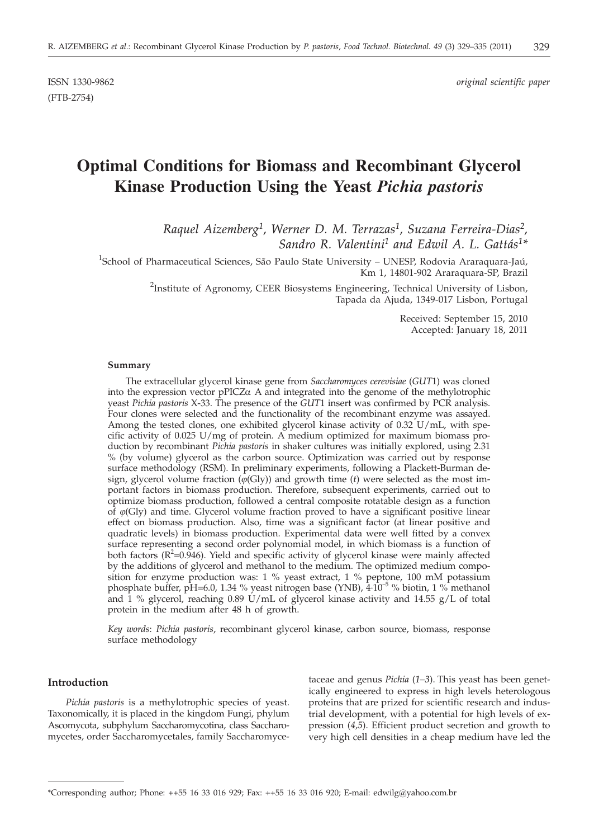(FTB-2754)

ISSN 1330-9862 *original scientific paper*

# **Optimal Conditions for Biomass and Recombinant Glycerol Kinase Production Using the Yeast** *Pichia pastoris*

*Raquel Aizemberg1, Werner D. M. Terrazas1, Suzana Ferreira-Dias2, Sandro R. Valentini1 and Edwil A. L. Gattás1\**

<sup>1</sup>School of Pharmaceutical Sciences, São Paulo State University – UNESP, Rodovia Araraquara-Jaú, Km 1, 14801-902 Araraquara-SP, Brazil

> <sup>2</sup>Institute of Agronomy, CEER Biosystems Engineering, Technical University of Lisbon, Tapada da Ajuda, 1349-017 Lisbon, Portugal

> > Received: September 15, 2010 Accepted: January 18, 2011

#### **Summary**

The extracellular glycerol kinase gene from *Saccharomyces cerevisiae* (*GUT*1) was cloned into the expression vector  $pPICZ\alpha$  A and integrated into the genome of the methylotrophic yeast *Pichia pastoris* X-33. The presence of the *GUT*1 insert was confirmed by PCR analysis. Four clones were selected and the functionality of the recombinant enzyme was assayed. Among the tested clones, one exhibited glycerol kinase activity of 0.32 U/mL, with specific activity of 0.025 U/mg of protein. A medium optimized for maximum biomass production by recombinant *Pichia pastoris* in shaker cultures was initially explored, using 2.31 % (by volume) glycerol as the carbon source. Optimization was carried out by response surface methodology (RSM). In preliminary experiments, following a Plackett-Burman design, glycerol volume fraction  $(\hat{\varphi}(Gly))$  and growth time (*t*) were selected as the most important factors in biomass production. Therefore, subsequent experiments, carried out to optimize biomass production, followed a central composite rotatable design as a function of  $\varphi$ (Gly) and time. Glycerol volume fraction proved to have a significant positive linear effect on biomass production. Also, time was a significant factor (at linear positive and quadratic levels) in biomass production. Experimental data were well fitted by a convex surface representing a second order polynomial model, in which biomass is a function of both factors ( $R^2$ =0.946). Yield and specific activity of glycerol kinase were mainly affected by the additions of glycerol and methanol to the medium. The optimized medium composition for enzyme production was: 1 % yeast extract, 1 % peptone, 100 mM potassium phosphate buffer, pH=6.0, 1.34 % yeast nitrogen base (YNB),  $4·10^{-5}$  % biotin, 1 % methanol and 1 % glycerol, reaching 0.89 U/mL of glycerol kinase activity and 14.55  $g/L$  of total protein in the medium after 48 h of growth.

*Key words*: *Pichia pastoris*, recombinant glycerol kinase, carbon source, biomass, response surface methodology

### **Introduction**

*Pichia pastoris* is a methylotrophic species of yeast. Taxonomically, it is placed in the kingdom Fungi*,* phylum Ascomycota*,* subphylum Saccharomycotina*,* class Saccharomycetes*,* order Saccharomycetales*,* family Saccharomyce-

taceae and genus *Pichia* (*1–3*). This yeast has been genetically engineered to express in high levels heterologous proteins that are prized for scientific research and industrial development, with a potential for high levels of expression (*4,5*). Efficient product secretion and growth to very high cell densities in a cheap medium have led the

<sup>\*</sup>Corresponding author; Phone: ++55 16 33 016 929; Fax: ++55 16 33 016 920; E-mail: edwilg@yahoo.com.br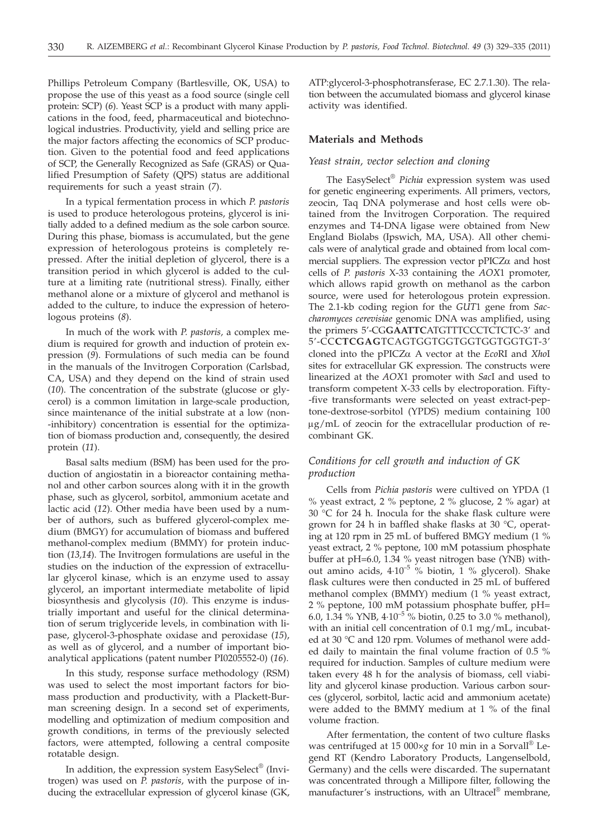Phillips Petroleum Company (Bartlesville, OK, USA) to propose the use of this yeast as a food source (single cell protein: SCP) (*6*). Yeast SCP is a product with many applications in the food, feed, pharmaceutical and biotechnological industries. Productivity, yield and selling price are the major factors affecting the economics of SCP production. Given to the potential food and feed applications of SCP, the Generally Recognized as Safe (GRAS) or Qualified Presumption of Safety (QPS) status are additional requirements for such a yeast strain (*7*).

In a typical fermentation process in which *P. pastoris* is used to produce heterologous proteins, glycerol is initially added to a defined medium as the sole carbon source. During this phase, biomass is accumulated, but the gene expression of heterologous proteins is completely repressed. After the initial depletion of glycerol, there is a transition period in which glycerol is added to the culture at a limiting rate (nutritional stress). Finally, either methanol alone or a mixture of glycerol and methanol is added to the culture, to induce the expression of heterologous proteins (*8*).

In much of the work with *P. pastoris,* a complex medium is required for growth and induction of protein expression (*9*). Formulations of such media can be found in the manuals of the Invitrogen Corporation (Carlsbad, CA, USA) and they depend on the kind of strain used (*10*). The concentration of the substrate (glucose or glycerol) is a common limitation in large-scale production, since maintenance of the initial substrate at a low (non- -inhibitory) concentration is essential for the optimization of biomass production and, consequently, the desired protein (*11*).

Basal salts medium (BSM) has been used for the production of angiostatin in a bioreactor containing methanol and other carbon sources along with it in the growth phase, such as glycerol, sorbitol, ammonium acetate and lactic acid (*12*). Other media have been used by a number of authors, such as buffered glycerol-complex medium (BMGY) for accumulation of biomass and buffered methanol-complex medium (BMMY) for protein induction (*13,14*). The Invitrogen formulations are useful in the studies on the induction of the expression of extracellular glycerol kinase, which is an enzyme used to assay glycerol, an important intermediate metabolite of lipid biosynthesis and glycolysis (*10*). This enzyme is industrially important and useful for the clinical determination of serum triglyceride levels, in combination with lipase, glycerol-3-phosphate oxidase and peroxidase (*15*), as well as of glycerol, and a number of important bioanalytical applications (patent number PI0205552-0) (*16*).

In this study, response surface methodology (RSM) was used to select the most important factors for biomass production and productivity, with a Plackett-Burman screening design. In a second set of experiments, modelling and optimization of medium composition and growth conditions, in terms of the previously selected factors, were attempted, following a central composite rotatable design.

In addition, the expression system EasySelect® (Invitrogen) was used on *P. pastoris,* with the purpose of inducing the extracellular expression of glycerol kinase (GK, ATP:glycerol-3-phosphotransferase, EC 2.7.1.30). The relation between the accumulated biomass and glycerol kinase activity was identified.

#### **Materials and Methods**

#### *Yeast strain, vector selection and cloning*

The EasySelect® *Pichia* expression system was used for genetic engineering experiments. All primers, vectors, zeocin, Taq DNA polymerase and host cells were obtained from the Invitrogen Corporation. The required enzymes and T4-DNA ligase were obtained from New England Biolabs (Ipswich, MA, USA). All other chemicals were of analytical grade and obtained from local commercial suppliers. The expression vector  $pPICZ\alpha$  and host cells of *P. pastoris* X-33 containing the *AOX*1 promoter, which allows rapid growth on methanol as the carbon source, were used for heterologous protein expression. The 2.1-kb coding region for the *GUT*1 gene from *Saccharomyces cerevisiae* genomic DNA was amplified, using the primers 5'-CG**GAATTC**ATGTTTCCCTCTCTC-3' and 5'-CC**CTCGAG**TCAGTGGTGGTGGTGGTGGTGT-3' cloned into the pPICZa A vector at the *Eco*RI and *Xho*<sup>I</sup> sites for extracellular GK expression. The constructs were linearized at the *AOX*1 promoter with *Sac*I and used to transform competent X-33 cells by electroporation. Fifty- -five transformants were selected on yeast extract-peptone-dextrose-sorbitol (YPDS) medium containing 100  $\mu$ g/mL of zeocin for the extracellular production of recombinant GK.

## *Conditions for cell growth and induction of GK production*

Cells from *Pichia pastoris* were cultived on YPDA (1 % yeast extract, 2 % peptone, 2 % glucose, 2 % agar) at 30 °C for 24 h. Inocula for the shake flask culture were grown for 24 h in baffled shake flasks at 30 °C, operating at 120 rpm in 25 mL of buffered BMGY medium (1 % yeast extract, 2 % peptone, 100 mM potassium phosphate buffer at pH=6.0, 1.34 % yeast nitrogen base (YNB) without amino acids,  $4.10^{-5}$  % biotin, 1 % glycerol). Shake flask cultures were then conducted in 25 mL of buffered methanol complex (BMMY) medium (1 % yeast extract, 2 % peptone, 100 mM potassium phosphate buffer, pH= 6.0, 1.34 % YNB,  $4.10^{-5}$  % biotin, 0.25 to 3.0 % methanol), with an initial cell concentration of 0.1 mg/mL, incubated at 30 °C and 120 rpm. Volumes of methanol were added daily to maintain the final volume fraction of 0.5 % required for induction. Samples of culture medium were taken every 48 h for the analysis of biomass, cell viability and glycerol kinase production. Various carbon sources (glycerol, sorbitol, lactic acid and ammonium acetate) were added to the BMMY medium at 1 % of the final volume fraction.

After fermentation, the content of two culture flasks was centrifuged at 15 000×*g* for 10 min in a Sorvall® Legend RT (Kendro Laboratory Products, Langenselbold, Germany) and the cells were discarded. The supernatant was concentrated through a Millipore filter, following the manufacturer's instructions, with an Ultracel® membrane,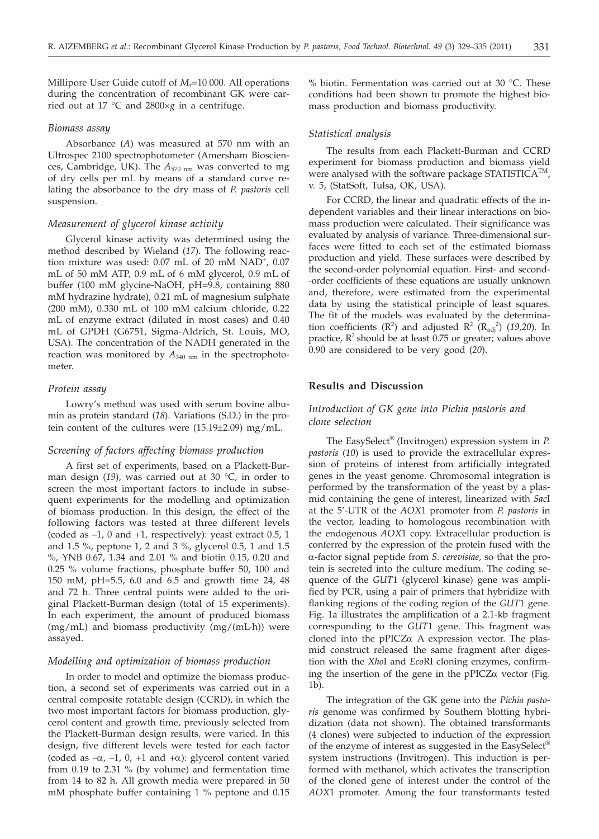Millipore User Guide cutoff of *M*<sub>r</sub>=10 000. All operations during the concentration of recombinant GK were carried out at 17 °C and 2800×*g* in a centrifuge.

#### *Biomass assay*

Absorbance (*A*) was measured at 570 nm with an Ultrospec 2100 spectrophotometer (Amersham Biosciences, Cambridge, UK). The *A*570 nm was converted to mg of dry cells per mL by means of a standard curve relating the absorbance to the dry mass of *P. pastoris* cell suspension.

## *Measurement of glycerol kinase activity*

Glycerol kinase activity was determined using the method described by Wieland (*17*). The following reaction mixture was used: 0.07 mL of 20 mM NAD<sup>+</sup>, 0.07 mL of 50 mM ATP, 0.9 mL of 6 mM glycerol, 0.9 mL of buffer (100 mM glycine-NaOH, pH=9.8, containing 880 mM hydrazine hydrate), 0.21 mL of magnesium sulphate (200 mM), 0.330 mL of 100 mM calcium chloride, 0.22 mL of enzyme extract (diluted in most cases) and 0.40 mL of GPDH (G6751, Sigma-Aldrich, St. Louis, MO, USA). The concentration of the NADH generated in the reaction was monitored by  $A_{340 \text{ nm}}$  in the spectrophotometer.

#### *Protein assay*

Lowry's method was used with serum bovine albumin as protein standard (*18*). Variations (S.D.) in the protein content of the cultures were (15.19±2.09) mg/mL.

## *Screening of factors affecting biomass production*

A first set of experiments, based on a Plackett-Burman design (*19*), was carried out at 30 °C, in order to screen the most important factors to include in subsequent experiments for the modelling and optimization of biomass production. In this design, the effect of the following factors was tested at three different levels (coded as –1, 0 and +1, respectively): yeast extract 0.5, 1 and 1.5 %, peptone 1, 2 and 3 %, glycerol 0.5, 1 and 1.5 %, YNB 0.67, 1.34 and 2.01 % and biotin 0.15, 0.20 and 0.25 % volume fractions, phosphate buffer 50, 100 and 150 mM, pH=5.5, 6.0 and 6.5 and growth time 24, 48 and 72 h. Three central points were added to the original Plackett-Burman design (total of 15 experiments). In each experiment, the amount of produced biomass (mg/mL) and biomass productivity (mg/(mL·h)) were assayed.

#### *Modelling and optimization of biomass production*

In order to model and optimize the biomass production, a second set of experiments was carried out in a central composite rotatable design (CCRD), in which the two most important factors for biomass production, glycerol content and growth time, previously selected from the Plackett-Burman design results, were varied. In this design, five different levels were tested for each factor (coded as  $-\alpha$ ,  $-1$ , 0,  $+1$  and  $+\alpha$ ): glycerol content varied from 0.19 to 2.31 % (by volume) and fermentation time from 14 to 82 h. All growth media were prepared in 50 mM phosphate buffer containing 1 % peptone and 0.15 % biotin. Fermentation was carried out at 30 °C. These conditions had been shown to promote the highest biomass production and biomass productivity.

#### *Statistical analysis*

The results from each Plackett-Burman and CCRD experiment for biomass production and biomass yield were analysed with the software package STATISTICA<sup>TM</sup>, v. 5, (StatSoft, Tulsa, OK, USA).

For CCRD, the linear and quadratic effects of the independent variables and their linear interactions on biomass production were calculated. Their significance was evaluated by analysis of variance. Three-dimensional surfaces were fitted to each set of the estimated biomass production and yield. These surfaces were described by the second-order polynomial equation. First- and second- -order coefficients of these equations are usually unknown and, therefore, were estimated from the experimental data by using the statistical principle of least squares. The fit of the models was evaluated by the determination coefficients  $(R^2)$  and adjusted  $R^2$   $(R_{\text{adj}}^2)$  (19,20). In practice,  $R^2$  should be at least 0.75 or greater; values above 0.90 are considered to be very good (*20*).

## **Results and Discussion**

## *Introduction of GK gene into Pichia pastoris and clone selection*

The EasySelect® (Invitrogen) expression system in *P. pastoris* (*10*) is used to provide the extracellular expression of proteins of interest from artificially integrated genes in the yeast genome. Chromosomal integration is performed by the transformation of the yeast by a plasmid containing the gene of interest, linearized with *Sac*I at the 5'-UTR of the *AOX*1 promoter from *P. pastoris* in the vector, leading to homologous recombination with the endogenous *AOX*1 copy. Extracellular production is conferred by the expression of the protein fused with the a-factor signal peptide from *S. cerevisiae,* so that the protein is secreted into the culture medium. The coding sequence of the *GUT*1 (glycerol kinase) gene was amplified by PCR, using a pair of primers that hybridize with flanking regions of the coding region of the *GUT*1 gene. Fig. 1a illustrates the amplification of a 2.1-kb fragment corresponding to the *GUT*1 gene. This fragment was cloned into the pPICZ $\alpha$  A expression vector. The plasmid construct released the same fragment after digestion with the *Xho*I and *Eco*RI cloning enzymes, confirming the insertion of the gene in the  $pPICZ\alpha$  vector (Fig. 1b).

The integration of the GK gene into the *Pichia pastoris* genome was confirmed by Southern blotting hybridization (data not shown). The obtained transformants (4 clones) were subjected to induction of the expression of the enzyme of interest as suggested in the EasySelect<sup>®</sup> system instructions (Invitrogen). This induction is performed with methanol, which activates the transcription of the cloned gene of interest under the control of the *AOX*1 promoter. Among the four transformants tested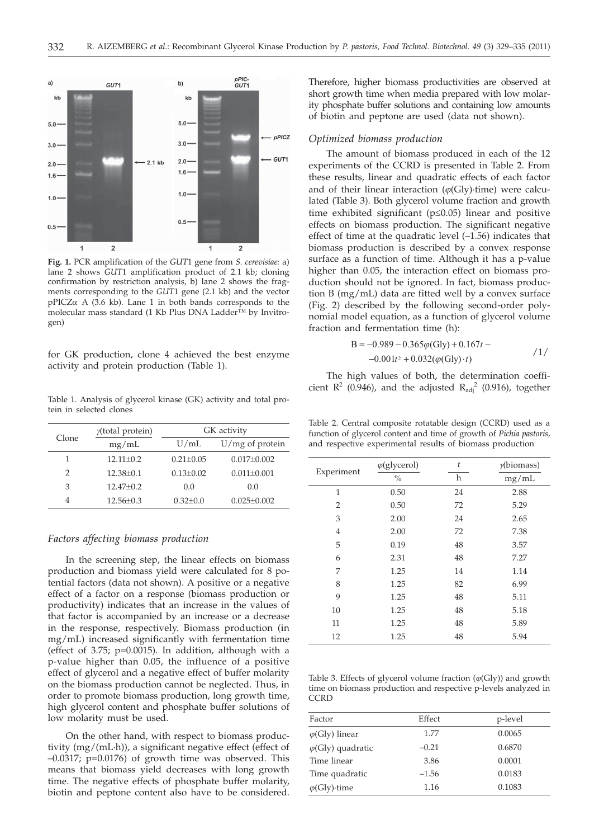

**Fig. 1.** PCR amplification of the *GUT*1 gene from *S. cerevisiae:* a) lane 2 shows *GUT*1 amplification product of 2.1 kb; cloning confirmation by restriction analysis, b) lane 2 shows the fragments corresponding to the *GUT*1 gene (2.1 kb) and the vector  $pPICZ\alpha$  A (3.6 kb). Lane 1 in both bands corresponds to the molecular mass standard (1 Kb Plus DNA Ladder™ by Invitrogen)

for GK production, clone 4 achieved the best enzyme activity and protein production (Table 1).

Table 1. Analysis of glycerol kinase (GK) activity and total protein in selected clones

| Clone | $y$ (total protein) | U/mL<br>$0.21 + 0.05$<br>$0.13 + 0.02$<br>0.0 | GK activity       |  |
|-------|---------------------|-----------------------------------------------|-------------------|--|
|       | mg/mL               |                                               | $U/mg$ of protein |  |
|       | $12.11+0.2$         |                                               | $0.017 \pm 0.002$ |  |
| 2     | $12.38 + 0.1$       |                                               | $0.011 \pm 0.001$ |  |
| 3     | $12.47+0.2$         |                                               | 0.0               |  |
| 4     | $12.56 \pm 0.3$     | $0.32 + 0.0$                                  | $0.025 \pm 0.002$ |  |
|       |                     |                                               |                   |  |

### *Factors affecting biomass production*

In the screening step, the linear effects on biomass production and biomass yield were calculated for 8 potential factors (data not shown). A positive or a negative effect of a factor on a response (biomass production or productivity) indicates that an increase in the values of that factor is accompanied by an increase or a decrease in the response, respectively. Biomass production (in mg/mL) increased significantly with fermentation time (effect of 3.75; p=0.0015). In addition, although with a p-value higher than 0.05, the influence of a positive effect of glycerol and a negative effect of buffer molarity on the biomass production cannot be neglected. Thus, in order to promote biomass production, long growth time, high glycerol content and phosphate buffer solutions of low molarity must be used.

On the other hand, with respect to biomass productivity (mg/(mL·h)), a significant negative effect (effect of –0.0317; p=0.0176) of growth time was observed. This means that biomass yield decreases with long growth time. The negative effects of phosphate buffer molarity, biotin and peptone content also have to be considered.

Therefore, higher biomass productivities are observed at short growth time when media prepared with low molarity phosphate buffer solutions and containing low amounts of biotin and peptone are used (data not shown).

#### *Optimized biomass production*

The amount of biomass produced in each of the 12 experiments of the CCRD is presented in Table 2. From these results, linear and quadratic effects of each factor and of their linear interaction  $(\varphi(G)y)$ ·time) were calculated (Table 3). Both glycerol volume fraction and growth time exhibited significant ( $p \leq 0.05$ ) linear and positive effects on biomass production. The significant negative effect of time at the quadratic level (–1.56) indicates that biomass production is described by a convex response surface as a function of time. Although it has a p-value higher than 0.05, the interaction effect on biomass production should not be ignored. In fact, biomass production B (mg/mL) data are fitted well by a convex surface (Fig. 2) described by the following second-order polynomial model equation, as a function of glycerol volume fraction and fermentation time (h):

$$
B = -0.989 - 0.365\varphi\text{(Gly)} + 0.167t - 0.001t^2 + 0.032(\varphi\text{(Gly)} \cdot t) \tag{1/}
$$

The high values of both, the determination coefficient  $\mathbb{R}^2$  (0.946), and the adjusted  $\mathbb{R}_{\text{adi}}^2$  (0.916), together

Table 2. Central composite rotatable design (CCRD) used as a function of glycerol content and time of growth of *Pichia pastoris,* and respective experimental results of biomass production

|                | $\varphi$ (glycerol) | t  | $\gamma$ (biomass) |
|----------------|----------------------|----|--------------------|
| Experiment     | $\frac{0}{0}$        | h  | mg/mL              |
| 1              | 0.50                 | 24 | 2.88               |
| 2              | 0.50                 | 72 | 5.29               |
| 3              | 2.00                 | 24 | 2.65               |
| $\overline{4}$ | 2.00                 | 72 | 7.38               |
| 5              | 0.19                 | 48 | 3.57               |
| 6              | 2.31                 | 48 | 7.27               |
| 7              | 1.25                 | 14 | 1.14               |
| 8              | 1.25                 | 82 | 6.99               |
| 9              | 1.25                 | 48 | 5.11               |
| 10             | 1.25                 | 48 | 5.18               |
| 11             | 1.25                 | 48 | 5.89               |
| 12             | 1.25                 | 48 | 5.94               |

Table 3. Effects of glycerol volume fraction  $(\varphi(G)y)$  and growth time on biomass production and respective p-levels analyzed in **CCRD** 

| Effect  | p-level |
|---------|---------|
| 1.77    | 0.0065  |
| $-0.21$ | 0.6870  |
| 3.86    | 0.0001  |
| $-1.56$ | 0.0183  |
| 1.16    | 0.1083  |
|         |         |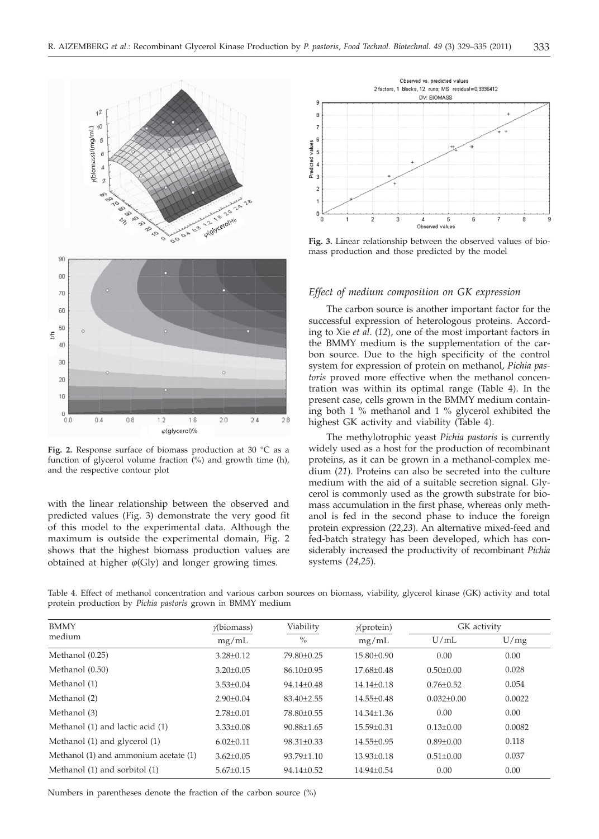

**Fig. 2.** Response surface of biomass production at 30 °C as a function of glycerol volume fraction (%) and growth time (h), and the respective contour plot

with the linear relationship between the observed and predicted values (Fig. 3) demonstrate the very good fit of this model to the experimental data. Although the maximum is outside the experimental domain, Fig. 2 shows that the highest biomass production values are obtained at higher  $\varphi$ (Gly) and longer growing times.



**Fig. 3.** Linear relationship between the observed values of biomass production and those predicted by the model

#### *Effect of medium composition on GK expression*

The carbon source is another important factor for the successful expression of heterologous proteins. According to Xie *et al*. (*12*), one of the most important factors in the BMMY medium is the supplementation of the carbon source. Due to the high specificity of the control system for expression of protein on methanol, *Pichia pastoris* proved more effective when the methanol concentration was within its optimal range (Table 4). In the present case, cells grown in the BMMY medium containing both 1 % methanol and 1 % glycerol exhibited the highest GK activity and viability (Table 4).

The methylotrophic yeast *Pichia pastoris* is currently widely used as a host for the production of recombinant proteins, as it can be grown in a methanol-complex medium (*21*). Proteins can also be secreted into the culture medium with the aid of a suitable secretion signal. Glycerol is commonly used as the growth substrate for biomass accumulation in the first phase, whereas only methanol is fed in the second phase to induce the foreign protein expression (*22,23*). An alternative mixed-feed and fed-batch strategy has been developed, which has considerably increased the productivity of recombinant *Pichia* systems (*24,25*).

Table 4. Effect of methanol concentration and various carbon sources on biomass, viability, glycerol kinase (GK) activity and total protein production by *Pichia pastoris* grown in BMMY medium

| <b>BMMY</b>                           | $\gamma$ (biomass) | Viability        | $\gamma$ (protein) | GK activity      |        |
|---------------------------------------|--------------------|------------------|--------------------|------------------|--------|
| medium                                | mg/mL              | $\%$             | mg/mL              | U/mL             | U/mg   |
| Methanol (0.25)                       | $3.28 \pm 0.12$    | $79.80 + 0.25$   | $15.80 + 0.90$     | 0.00             | 0.00   |
| Methanol (0.50)                       | $3.20 \pm 0.05$    | $86.10 \pm 0.95$ | $17.68 + 0.48$     | $0.50 \pm 0.00$  | 0.028  |
| Methanol (1)                          | $3.53 \pm 0.04$    | $94.14 + 0.48$   | $14.14 + 0.18$     | $0.76 + 0.52$    | 0.054  |
| Methanol (2)                          | $2.90 \pm 0.04$    | $83.40 \pm 2.55$ | $14.55 \pm 0.48$   | $0.032 \pm 0.00$ | 0.0022 |
| Methanol (3)                          | $2.78 \pm 0.01$    | 78.80±0.55       | $14.34 + 1.36$     | 0.00             | 0.00   |
| Methanol (1) and lactic acid (1)      | $3.33 \pm 0.08$    | $90.88 + 1.65$   | $15.59 \pm 0.31$   | $0.13 + 0.00$    | 0.0082 |
| Methanol (1) and glycerol (1)         | $6.02 \pm 0.11$    | $98.31 \pm 0.33$ | $14.55 \pm 0.95$   | $0.89 \pm 0.00$  | 0.118  |
| Methanol (1) and ammonium acetate (1) | $3.62 \pm 0.05$    | $93.79 + 1.10$   | $13.93 \pm 0.18$   | $0.51 \pm 0.00$  | 0.037  |
| Methanol (1) and sorbitol (1)         | $5.67 \pm 0.15$    | $94.14 \pm 0.52$ | $14.94 \pm 0.54$   | 0.00             | 0.00   |

Numbers in parentheses denote the fraction of the carbon source (%)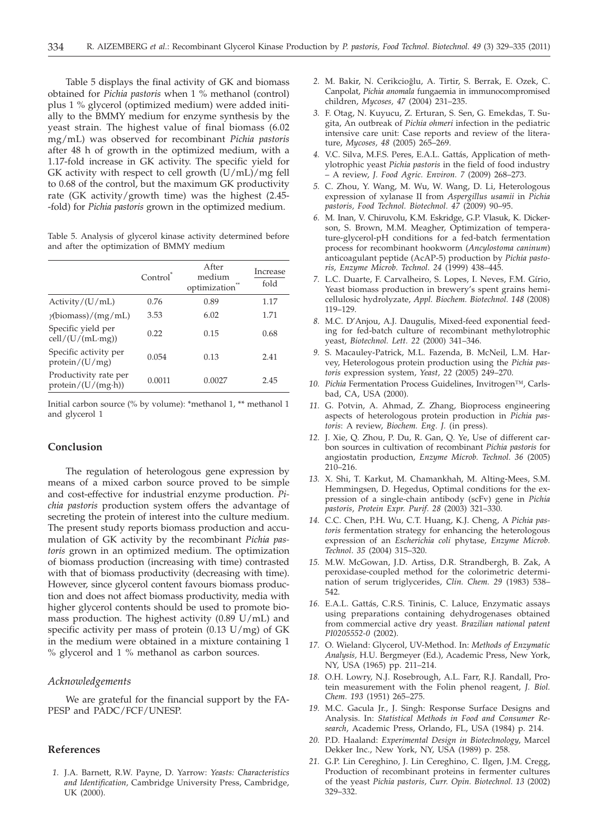Table 5 displays the final activity of GK and biomass obtained for *Pichia pastoris* when 1 % methanol (control) plus 1 % glycerol (optimized medium) were added initially to the BMMY medium for enzyme synthesis by the yeast strain. The highest value of final biomass (6.02 mg/mL) was observed for recombinant *Pichia pastoris* after 48 h of growth in the optimized medium, with a 1.17-fold increase in GK activity. The specific yield for GK activity with respect to cell growth  $(U/mL)/mg$  fell to 0.68 of the control, but the maximum GK productivity rate (GK activity/growth time) was the highest (2.45- -fold) for *Pichia pastoris* grown in the optimized medium.

Table 5. Analysis of glycerol kinase activity determined before and after the optimization of BMMY medium

|                                                     | Control | After<br>medium<br>optimization | Increase<br>fold |
|-----------------------------------------------------|---------|---------------------------------|------------------|
| Activity/(U/mL)                                     | 0.76    | 0.89                            | 1.17             |
| $\gamma$ (biomass)/(mg/mL)                          | 3.53    | 6.02                            | 1.71             |
| Specific yield per<br>cell/(U/(mL·mg))              | 0.22    | 0.15                            | 0.68             |
| Specific activity per<br>protein/(U/mg)             | 0.054   | 0.13                            | 2.41             |
| Productivity rate per<br>$protein/(U/(mg \cdot h))$ | 0.0011  | 0.0027                          | 2.45             |

Initial carbon source (% by volume): \*methanol 1, \*\* methanol 1 and glycerol 1

## **Conclusion**

The regulation of heterologous gene expression by means of a mixed carbon source proved to be simple and cost-effective for industrial enzyme production. *Pichia pastoris* production system offers the advantage of secreting the protein of interest into the culture medium. The present study reports biomass production and accumulation of GK activity by the recombinant *Pichia pastoris* grown in an optimized medium. The optimization of biomass production (increasing with time) contrasted with that of biomass productivity (decreasing with time). However, since glycerol content favours biomass production and does not affect biomass productivity, media with higher glycerol contents should be used to promote biomass production. The highest activity (0.89 U/mL) and specific activity per mass of protein (0.13 U/mg) of GK in the medium were obtained in a mixture containing 1 % glycerol and 1 % methanol as carbon sources.

#### *Acknowledgements*

We are grateful for the financial support by the FA-PESP and PADC/FCF/UNESP.

## **References**

*1.* J.A. Barnett, R.W. Payne, D. Yarrow: *Yeasts: Characteristics and Identification,* Cambridge University Press, Cambridge, UK (2000).

- *2.* M. Bakir, N. Cerikcioðlu, A. Tirtir, S. Berrak, E. Ozek, C. Canpolat, *Pichia anomala* fungaemia in immunocompromised children, *Mycoses, 47* (2004) 231–235.
- *3.* F. Otag, N. Kuyucu, Z. Erturan, S. Sen, G. Emekdas, T. Sugita, An outbreak of *Pichia ohmeri* infection in the pediatric intensive care unit: Case reports and review of the literature, *Mycoses, 48* (2005) 265–269.
- *4.* V.C. Silva, M.F.S. Peres, E.A.L. Gattás, Application of methylotrophic yeast *Pichia pastoris* in the field of food industry – A review, *J. Food Agric. Environ. 7* (2009) 268–273.
- *5.* C. Zhou, Y. Wang, M. Wu, W. Wang, D. Li, Heterologous expression of xylanase II from *Aspergillus usamii* in *Pichia pastoris, Food Technol. Biotechnol. 47* (2009) 90–95.
- *6.* M. Inan, V. Chiruvolu, K.M. Eskridge, G.P. Vlasuk, K. Dickerson, S. Brown, M.M. Meagher, Optimization of temperature-glycerol-pH conditions for a fed-batch fermentation process for recombinant hookworm (*Ancylostoma caninum*) anticoagulant peptide (AcAP-5) production by *Pichia pastoris, Enzyme Microb. Technol. 24* (1999) 438–445.
- *7.* L.C. Duarte, F. Carvalheiro, S. Lopes, I. Neves, F.M. Gírio, Yeast biomass production in brewery's spent grains hemicellulosic hydrolyzate, *Appl. Biochem. Biotechnol. 148* (2008) 119–129.
- *8.* M.C. D'Anjou, A.J. Daugulis, Mixed-feed exponential feeding for fed-batch culture of recombinant methylotrophic yeast, *Biotechnol. Lett. 22* (2000) 341–346.
- *9.* S. Macauley-Patrick, M.L. Fazenda, B. McNeil, L.M. Harvey, Heterologous protein production using the *Pichia pastoris* expression system, *Yeast, 22* (2005) 249–270.
- *10. Pichia* Fermentation Process Guidelines, Invitrogen™, Carlsbad, CA, USA (2000).
- *11.* G. Potvin, A. Ahmad, Z. Zhang, Bioprocess engineering aspects of heterologous protein production in *Pichia pastoris*: A review, *Biochem. Eng. J.* (in press).
- *12.* J. Xie, Q. Zhou, P. Du, R. Gan, Q. Ye, Use of different carbon sources in cultivation of recombinant *Pichia pastoris* for angiostatin production, *Enzyme Microb. Technol. 36* (2005) 210–216.
- *13.* X. Shi, T. Karkut, M. Chamankhah, M. Alting-Mees, S.M. Hemmingsen, D. Hegedus, Optimal conditions for the expression of a single-chain antibody (scFv) gene in *Pichia pastoris*, *Protein Expr. Purif*. *28* (2003) 321–330.
- *14.* C.C. Chen, P.H. Wu, C.T. Huang, K.J. Cheng, A *Pichia pastoris* fermentation strategy for enhancing the heterologous expression of an *Escherichia coli* phytase, *Enzyme Microb. Technol*. *35* (2004) 315–320.
- *15.* M.W. McGowan, J.D. Artiss, D.R. Strandbergh, B. Zak, A peroxidase-coupled method for the colorimetric determination of serum triglycerides, *Clin. Chem. 29* (1983) 538– 542.
- *16.* E.A.L. Gattás, C.R.S. Tininis, C. Laluce, Enzymatic assays using preparations containing dehydrogenases obtained from commercial active dry yeast. *Brazilian national patent PI0205552-0* (2002).
- *17.* O. Wieland: Glycerol, UV-Method. In: *Methods of Enzymatic Analysis,* H.U. Bergmeyer (Ed.), Academic Press, New York, NY, USA (1965) pp. 211–214.
- *18.* O.H. Lowry, N.J. Rosebrough, A.L. Farr, R.J. Randall, Protein measurement with the Folin phenol reagent, *J. Biol. Chem*. *193* (1951) 265–275.
- *19.* M.C. Gacula Jr., J. Singh: Response Surface Designs and Analysis. In: *Statistical Methods in Food and Consumer Research*, Academic Press, Orlando, FL, USA (1984) p. 214.
- *20.* P.D. Haaland: *Experimental Design in Biotechnology*, Marcel Dekker Inc., New York, NY, USA (1989) p. 258.
- *21.* G.P. Lin Cereghino, J. Lin Cereghino, C. Ilgen, J.M. Cregg, Production of recombinant proteins in fermenter cultures of the yeast *Pichia pastoris, Curr. Opin. Biotechnol. 13* (2002) 329–332.